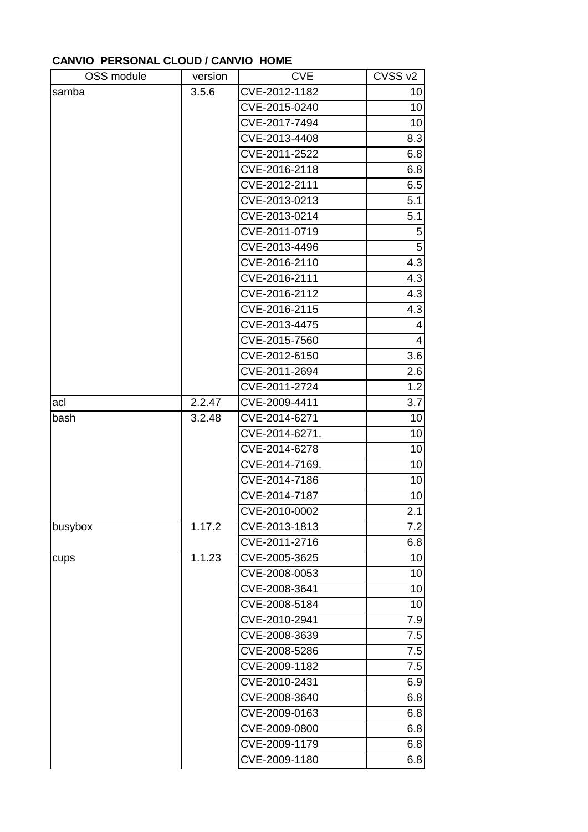## **CANVIO PERSONAL CLOUD / CANVIO HOME**

| OSS module | version | <b>CVE</b>     | CVSS <sub>v2</sub>       |
|------------|---------|----------------|--------------------------|
| samba      | 3.5.6   | CVE-2012-1182  | 10                       |
|            |         | CVE-2015-0240  | 10                       |
|            |         | CVE-2017-7494  | 10                       |
|            |         | CVE-2013-4408  | 8.3                      |
|            |         | CVE-2011-2522  | 6.8                      |
|            |         | CVE-2016-2118  | 6.8                      |
|            |         | CVE-2012-2111  | 6.5                      |
|            |         | CVE-2013-0213  | 5.1                      |
|            |         | CVE-2013-0214  | 5.1                      |
|            |         | CVE-2011-0719  | 5                        |
|            |         | CVE-2013-4496  | $\overline{5}$           |
|            |         | CVE-2016-2110  | 4.3                      |
|            |         | CVE-2016-2111  | 4.3                      |
|            |         | CVE-2016-2112  | 4.3                      |
|            |         | CVE-2016-2115  | 4.3                      |
|            |         | CVE-2013-4475  | 4                        |
|            |         | CVE-2015-7560  | $\overline{\mathcal{L}}$ |
|            |         | CVE-2012-6150  | $\overline{3.6}$         |
|            |         | CVE-2011-2694  | 2.6                      |
|            |         | CVE-2011-2724  | $\overline{1}$ .2        |
| acl        | 2.2.47  | CVE-2009-4411  | 3.7                      |
| bash       | 3.2.48  | CVE-2014-6271  | 10                       |
|            |         | CVE-2014-6271. | 10                       |
|            |         | CVE-2014-6278  | 10                       |
|            |         | CVE-2014-7169. | 10                       |
|            |         | CVE-2014-7186  | 10                       |
|            |         | CVE-2014-7187  | 10                       |
|            |         | CVE-2010-0002  | 2.1                      |
| busybox    | 1.17.2  | CVE-2013-1813  | 7.2                      |
|            |         | CVE-2011-2716  | 6.8                      |
| cups       | 1.1.23  | CVE-2005-3625  | 10                       |
|            |         | CVE-2008-0053  | 10                       |
|            |         | CVE-2008-3641  | 10                       |
|            |         | CVE-2008-5184  | 10                       |
|            |         | CVE-2010-2941  | 7.9                      |
|            |         | CVE-2008-3639  | 7.5                      |
|            |         | CVE-2008-5286  | 7.5                      |
|            |         | CVE-2009-1182  | 7.5                      |
|            |         | CVE-2010-2431  | 6.9                      |
|            |         | CVE-2008-3640  | 6.8                      |
|            |         | CVE-2009-0163  | 6.8                      |
|            |         | CVE-2009-0800  | 6.8                      |
|            |         | CVE-2009-1179  | 6.8                      |
|            |         | CVE-2009-1180  | 6.8                      |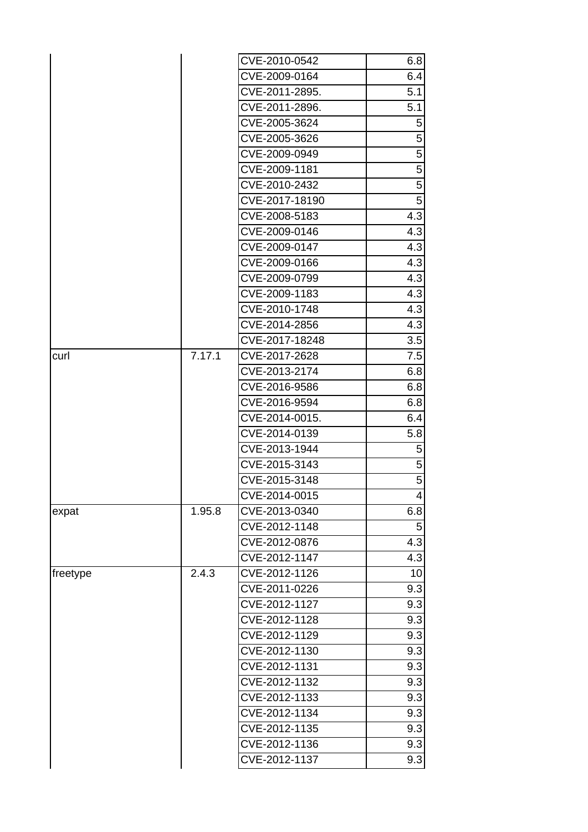|          |        | CVE-2010-0542  | 6.8              |
|----------|--------|----------------|------------------|
|          |        | CVE-2009-0164  | 6.4              |
|          |        | CVE-2011-2895. | 5.1              |
|          |        | CVE-2011-2896. | 5.1              |
|          |        | CVE-2005-3624  | 5                |
|          |        | CVE-2005-3626  | 5                |
|          |        | CVE-2009-0949  | 5                |
|          |        | CVE-2009-1181  | $\overline{5}$   |
|          |        | CVE-2010-2432  | $\overline{5}$   |
|          |        | CVE-2017-18190 | $\overline{5}$   |
|          |        | CVE-2008-5183  | 4.3              |
|          |        | CVE-2009-0146  | 4.3              |
|          |        | CVE-2009-0147  | 4.3              |
|          |        | CVE-2009-0166  | 4.3              |
|          |        | CVE-2009-0799  | 4.3              |
|          |        | CVE-2009-1183  | 4.3              |
|          |        | CVE-2010-1748  | 4.3              |
|          |        | CVE-2014-2856  | $\overline{4.3}$ |
|          |        | CVE-2017-18248 | 3.5              |
| curl     | 7.17.1 | CVE-2017-2628  | 7.5              |
|          |        | CVE-2013-2174  | 6.8              |
|          |        | CVE-2016-9586  | 6.8              |
|          |        | CVE-2016-9594  | 6.8              |
|          |        | CVE-2014-0015. | 6.4              |
|          |        | CVE-2014-0139  | 5.8              |
|          |        | CVE-2013-1944  | $5\overline{)}$  |
|          |        | CVE-2015-3143  | $\sqrt{5}$       |
|          |        | CVE-2015-3148  | $\overline{5}$   |
|          |        | CVE-2014-0015  |                  |
| expat    | 1.95.8 | CVE-2013-0340  | 6.8              |
|          |        | CVE-2012-1148  | 5                |
|          |        | CVE-2012-0876  | 4.3              |
|          |        | CVE-2012-1147  | 4.3              |
| freetype | 2.4.3  | CVE-2012-1126  | 10 <sub>l</sub>  |
|          |        | CVE-2011-0226  | 9.3              |
|          |        | CVE-2012-1127  | 9.3              |
|          |        | CVE-2012-1128  | 9.3              |
|          |        | CVE-2012-1129  | 9.3              |
|          |        | CVE-2012-1130  | 9.3              |
|          |        | CVE-2012-1131  | 9.3              |
|          |        | CVE-2012-1132  | 9.3              |
|          |        | CVE-2012-1133  | 9.3              |
|          |        | CVE-2012-1134  | 9.3              |
|          |        | CVE-2012-1135  | 9.3              |
|          |        | CVE-2012-1136  | 9.3              |
|          |        | CVE-2012-1137  | 9.3              |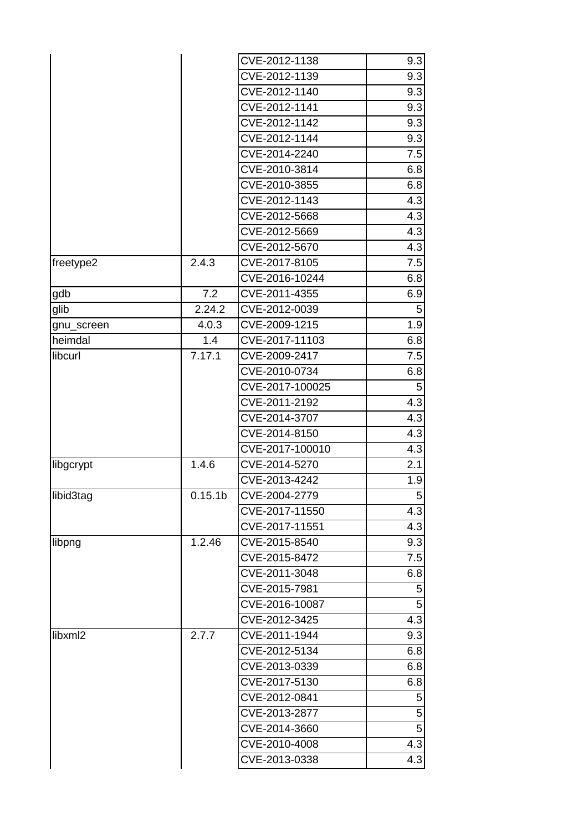|            |                     | CVE-2012-1138   | 9.3            |
|------------|---------------------|-----------------|----------------|
|            |                     | CVE-2012-1139   | 9.3            |
|            |                     | CVE-2012-1140   | 9.3            |
|            |                     | CVE-2012-1141   | 9.3            |
|            |                     | CVE-2012-1142   | 9.3            |
|            |                     | CVE-2012-1144   | 9.3            |
|            |                     | CVE-2014-2240   | 7.5            |
|            |                     | CVE-2010-3814   | 6.8            |
|            |                     | CVE-2010-3855   | 6.8            |
|            |                     | CVE-2012-1143   | 4.3            |
|            |                     | CVE-2012-5668   | 4.3            |
|            |                     | CVE-2012-5669   | 4.3            |
|            |                     | CVE-2012-5670   | 4.3            |
| freetype2  | 2.4.3               | CVE-2017-8105   | 7.5            |
|            |                     | CVE-2016-10244  | 6.8            |
| gdb        | 7.2                 | CVE-2011-4355   | 6.9            |
| glib       | 2.24.2              | CVE-2012-0039   | 5              |
| gnu_screen | 4.0.3               | CVE-2009-1215   | 1.9            |
| heimdal    | 1.4                 | CVE-2017-11103  | 6.8            |
| libcurl    | 7.17.1              | CVE-2009-2417   | 7.5            |
|            |                     | CVE-2010-0734   | 6.8            |
|            |                     | CVE-2017-100025 | 5              |
|            |                     | CVE-2011-2192   | 4.3            |
|            |                     | CVE-2014-3707   | 4.3            |
|            |                     | CVE-2014-8150   | 4.3            |
|            |                     | CVE-2017-100010 | 4.3            |
| libgcrypt  | 1.4.6               | CVE-2014-5270   | 2.1            |
|            |                     | CVE-2013-4242   | 1.9            |
| libid3tag  | 0.15.1 <sub>b</sub> | CVE-2004-2779   | 5 <sub>l</sub> |
|            |                     | CVE-2017-11550  | 4.3            |
|            |                     | CVE-2017-11551  | 4.3            |
| libpng     | 1.2.46              | CVE-2015-8540   | 9.3            |
|            |                     | CVE-2015-8472   | 7.5            |
|            |                     | CVE-2011-3048   | 6.8            |
|            |                     | CVE-2015-7981   | 5              |
|            |                     | CVE-2016-10087  | 5              |
|            |                     | CVE-2012-3425   | 4.3            |
| libxml2    | 2.7.7               | CVE-2011-1944   | 9.3            |
|            |                     | CVE-2012-5134   | 6.8            |
|            |                     | CVE-2013-0339   | 6.8            |
|            |                     | CVE-2017-5130   | 6.8            |
|            |                     | CVE-2012-0841   | 5              |
|            |                     | CVE-2013-2877   | 5              |
|            |                     | CVE-2014-3660   | 5 <sup>1</sup> |
|            |                     | CVE-2010-4008   | 4.3            |
|            |                     | CVE-2013-0338   | 4.3            |
|            |                     |                 |                |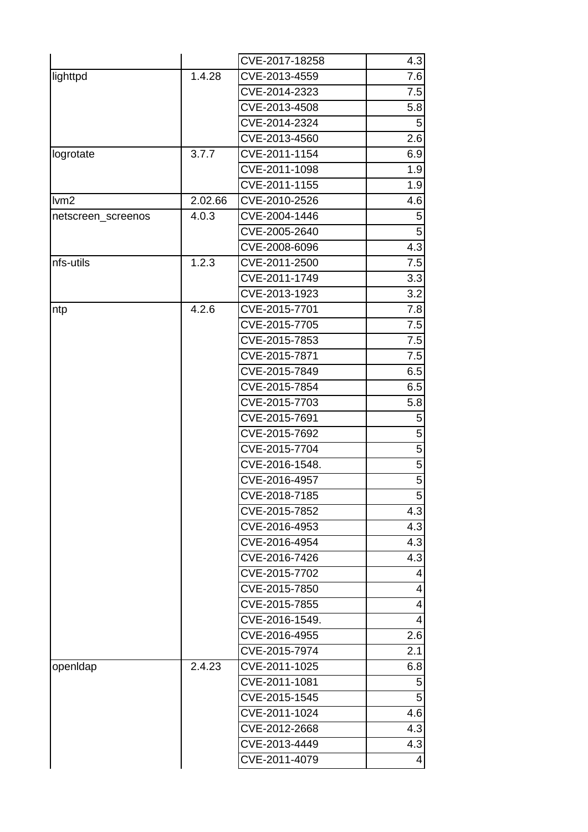|                    |         | CVE-2017-18258 | 4.3              |
|--------------------|---------|----------------|------------------|
| lighttpd           | 1.4.28  | CVE-2013-4559  | 7.6              |
|                    |         | CVE-2014-2323  | 7.5              |
|                    |         | CVE-2013-4508  | 5.8              |
|                    |         | CVE-2014-2324  | 5                |
|                    |         | CVE-2013-4560  | 2.6              |
| logrotate          | 3.7.7   | CVE-2011-1154  | 6.9              |
|                    |         | CVE-2011-1098  | 1.9              |
|                    |         | CVE-2011-1155  | 1.9              |
| lvm2               | 2.02.66 | CVE-2010-2526  | 4.6              |
| netscreen_screenos | 4.0.3   | CVE-2004-1446  | 5                |
|                    |         | CVE-2005-2640  | 5                |
|                    |         | CVE-2008-6096  | 4.3              |
| nfs-utils          | 1.2.3   | CVE-2011-2500  | 7.5              |
|                    |         | CVE-2011-1749  | 3.3              |
|                    |         | CVE-2013-1923  | 3.2              |
| ntp                | 4.2.6   | CVE-2015-7701  | 7.8              |
|                    |         | CVE-2015-7705  | 7.5              |
|                    |         | CVE-2015-7853  | 7.5              |
|                    |         | CVE-2015-7871  | 7.5              |
|                    |         | CVE-2015-7849  | 6.5              |
|                    |         | CVE-2015-7854  | 6.5              |
|                    |         | CVE-2015-7703  | 5.8              |
|                    |         | CVE-2015-7691  | 5                |
|                    |         | CVE-2015-7692  | 5                |
|                    |         | CVE-2015-7704  | 5                |
|                    |         | CVE-2016-1548. | 5                |
|                    |         | CVE-2016-4957  | 5                |
|                    |         | CVE-2018-7185  | $5 \mid$         |
|                    |         | CVE-2015-7852  | $\overline{4.3}$ |
|                    |         | CVE-2016-4953  | 4.3              |
|                    |         | CVE-2016-4954  | 4.3              |
|                    |         | CVE-2016-7426  | 4.3              |
|                    |         | CVE-2015-7702  | 4                |
|                    |         | CVE-2015-7850  | 4                |
|                    |         | CVE-2015-7855  | 4                |
|                    |         | CVE-2016-1549. | 4                |
|                    |         | CVE-2016-4955  | 2.6              |
|                    |         | CVE-2015-7974  | 2.1              |
| openIdap           | 2.4.23  | CVE-2011-1025  | 6.8              |
|                    |         | CVE-2011-1081  | 5                |
|                    |         | CVE-2015-1545  | 5                |
|                    |         | CVE-2011-1024  | 4.6              |
|                    |         | CVE-2012-2668  | 4.3              |
|                    |         | CVE-2013-4449  | 4.3              |
|                    |         | CVE-2011-4079  | 4                |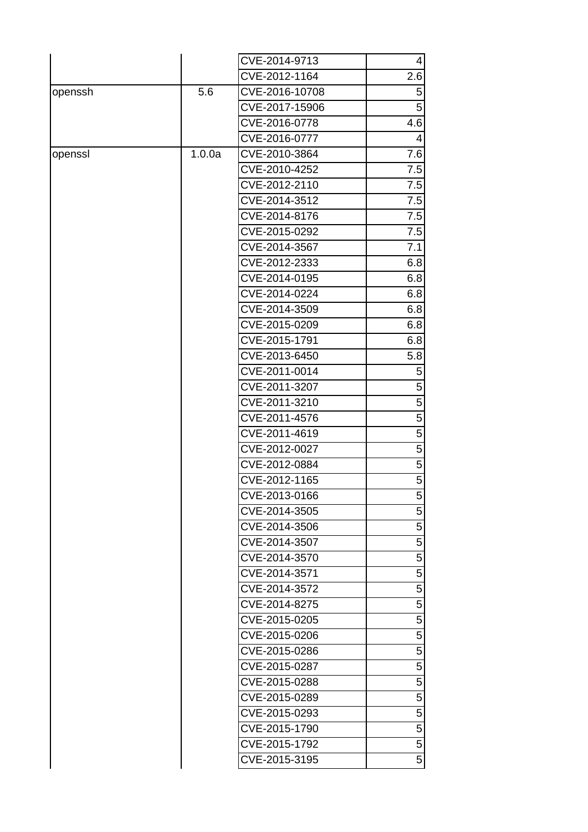|         |        | CVE-2014-9713  | $\vert$        |
|---------|--------|----------------|----------------|
|         |        | CVE-2012-1164  | 2.6            |
| openssh | 5.6    | CVE-2016-10708 | 5              |
|         |        | CVE-2017-15906 | 5 <sup>1</sup> |
|         |        | CVE-2016-0778  | 4.6            |
|         |        | CVE-2016-0777  | 4              |
| openssl | 1.0.0a | CVE-2010-3864  | 7.6            |
|         |        | CVE-2010-4252  | 7.5            |
|         |        | CVE-2012-2110  | 7.5            |
|         |        | CVE-2014-3512  | 7.5            |
|         |        | CVE-2014-8176  | 7.5            |
|         |        | CVE-2015-0292  | 7.5            |
|         |        | CVE-2014-3567  | 7.1            |
|         |        | CVE-2012-2333  | 6.8            |
|         |        | CVE-2014-0195  | 6.8            |
|         |        | CVE-2014-0224  | 6.8            |
|         |        | CVE-2014-3509  | 6.8            |
|         |        | CVE-2015-0209  | 6.8            |
|         |        | CVE-2015-1791  | 6.8            |
|         |        | CVE-2013-6450  | 5.8            |
|         |        | CVE-2011-0014  | 5 <sup>1</sup> |
|         |        | CVE-2011-3207  | 5 <sup>1</sup> |
|         |        | CVE-2011-3210  | 5 <sup>1</sup> |
|         |        | CVE-2011-4576  | 5 <sup>1</sup> |
|         |        | CVE-2011-4619  | 5 <sup>1</sup> |
|         |        | CVE-2012-0027  | 5 <sup>1</sup> |
|         |        | CVE-2012-0884  | 5 <sup>1</sup> |
|         |        | CVE-2012-1165  | 5 <sup>1</sup> |
|         |        | CVE-2013-0166  | 5 <sup>1</sup> |
|         |        | CVE-2014-3505  | 5              |
|         |        | CVE-2014-3506  | 5              |
|         |        | CVE-2014-3507  | 5              |
|         |        | CVE-2014-3570  | 5              |
|         |        | CVE-2014-3571  | 5              |
|         |        | CVE-2014-3572  | 5              |
|         |        | CVE-2014-8275  | 5              |
|         |        | CVE-2015-0205  | 5              |
|         |        | CVE-2015-0206  | 5              |
|         |        | CVE-2015-0286  | 5              |
|         |        | CVE-2015-0287  | 5              |
|         |        | CVE-2015-0288  | 5              |
|         |        | CVE-2015-0289  | 5              |
|         |        | CVE-2015-0293  | 5              |
|         |        | CVE-2015-1790  | 5              |
|         |        | CVE-2015-1792  | 5              |
|         |        | CVE-2015-3195  | 5 <sup>1</sup> |
|         |        |                |                |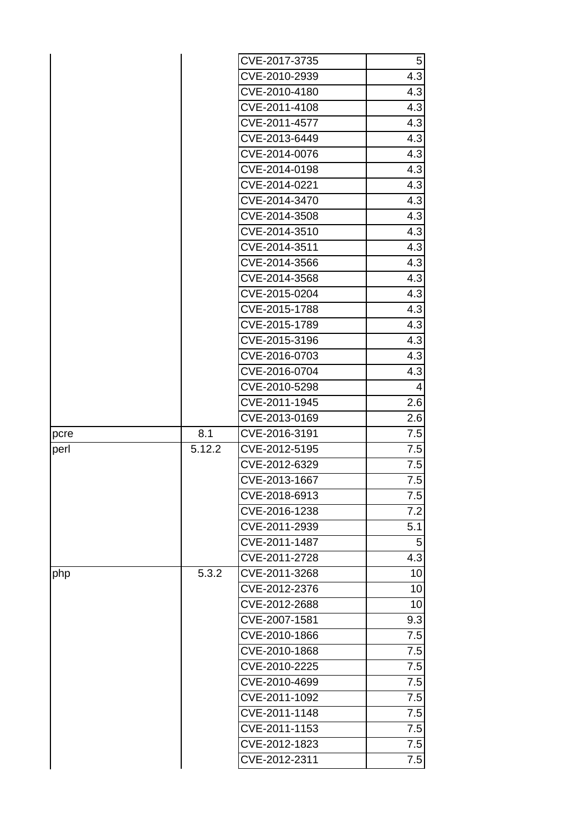|      |        | CVE-2017-3735 | $5\overline{)}$  |
|------|--------|---------------|------------------|
|      |        | CVE-2010-2939 | 4.3              |
|      |        | CVE-2010-4180 | 4.3              |
|      |        | CVE-2011-4108 | 4.3              |
|      |        | CVE-2011-4577 | 4.3              |
|      |        | CVE-2013-6449 | 4.3              |
|      |        | CVE-2014-0076 | 4.3              |
|      |        | CVE-2014-0198 | 4.3              |
|      |        | CVE-2014-0221 | 4.3              |
|      |        | CVE-2014-3470 | 4.3              |
|      |        | CVE-2014-3508 | 4.3              |
|      |        | CVE-2014-3510 | 4.3              |
|      |        | CVE-2014-3511 | 4.3              |
|      |        | CVE-2014-3566 | 4.3              |
|      |        | CVE-2014-3568 | 4.3              |
|      |        | CVE-2015-0204 | 4.3              |
|      |        | CVE-2015-1788 | 4.3              |
|      |        | CVE-2015-1789 | $\overline{4.3}$ |
|      |        | CVE-2015-3196 | 4.3              |
|      |        | CVE-2016-0703 | 4.3              |
|      |        | CVE-2016-0704 | 4.3              |
|      |        | CVE-2010-5298 | 4                |
|      |        | CVE-2011-1945 | 2.6              |
|      |        | CVE-2013-0169 | 2.6              |
| pcre | 8.1    | CVE-2016-3191 | 7.5              |
| perl | 5.12.2 | CVE-2012-5195 | 7.5              |
|      |        | CVE-2012-6329 | 7.5              |
|      |        | CVE-2013-1667 | 7.5              |
|      |        | CVE-2018-6913 | 7.5              |
|      |        | CVE-2016-1238 | 7.2              |
|      |        | CVE-2011-2939 | 5.1              |
|      |        | CVE-2011-1487 | 5                |
|      |        | CVE-2011-2728 | 4.3              |
| php  | 5.3.2  | CVE-2011-3268 | 10               |
|      |        | CVE-2012-2376 | 10               |
|      |        | CVE-2012-2688 | 10               |
|      |        | CVE-2007-1581 | 9.3              |
|      |        | CVE-2010-1866 | 7.5              |
|      |        |               |                  |
|      |        | CVE-2010-1868 | 7.5              |
|      |        | CVE-2010-2225 | 7.5              |
|      |        | CVE-2010-4699 | 7.5              |
|      |        | CVE-2011-1092 | 7.5              |
|      |        | CVE-2011-1148 | 7.5              |
|      |        | CVE-2011-1153 | 7.5              |
|      |        | CVE-2012-1823 | 7.5              |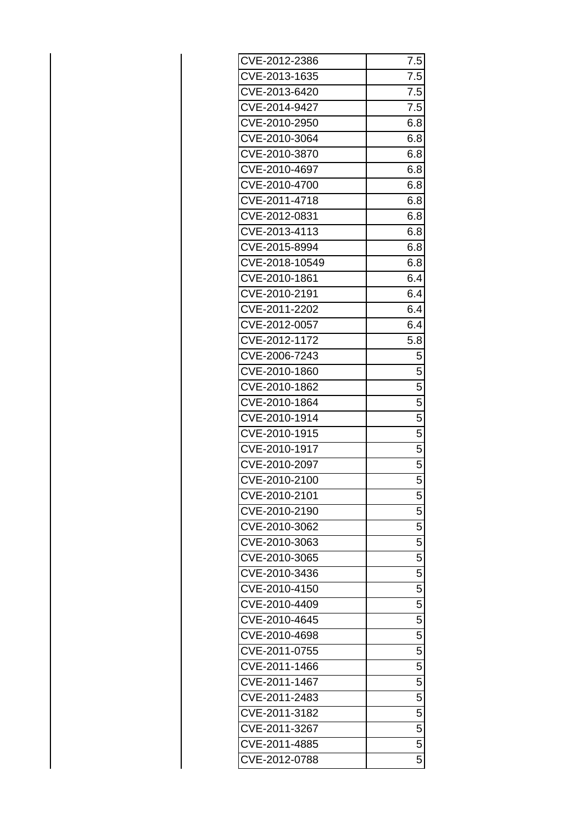| CVE-2012-2386  | 7.5            |
|----------------|----------------|
| CVE-2013-1635  | 7.5            |
| CVE-2013-6420  | 7.5            |
| CVE-2014-9427  | 7.5            |
| CVE-2010-2950  | 6.8            |
| CVE-2010-3064  | 6.8            |
| CVE-2010-3870  | 6.8            |
| CVE-2010-4697  | 6.8            |
| CVE-2010-4700  | 6.8            |
| CVE-2011-4718  | 6.8            |
| CVE-2012-0831  | 6.8            |
| CVE-2013-4113  | 6.8            |
| CVE-2015-8994  | 6.8            |
| CVE-2018-10549 | 6.8            |
| CVE-2010-1861  | 6.4            |
| CVE-2010-2191  | 6.4            |
| CVE-2011-2202  | 6.4            |
| CVE-2012-0057  | 6.4            |
| CVE-2012-1172  | 5.8            |
| CVE-2006-7243  | 5              |
| CVE-2010-1860  | 5              |
| CVE-2010-1862  | $\overline{5}$ |
| CVE-2010-1864  | 5              |
| CVE-2010-1914  | $\overline{5}$ |
| CVE-2010-1915  | $\overline{5}$ |
| CVE-2010-1917  | 5              |
| CVE-2010-2097  | 5              |
| CVE-2010-2100  | $\overline{5}$ |
| CVE-2010-2101  | $\overline{5}$ |
| CVE-2010-2190  | 5              |
| CVE-2010-3062  | 5              |
| CVE-2010-3063  | $\overline{5}$ |
| CVE-2010-3065  | $\overline{5}$ |
| CVE-2010-3436  | $\overline{5}$ |
| CVE-2010-4150  | 5              |
| CVE-2010-4409  | $\overline{5}$ |
| CVE-2010-4645  | 5              |
| CVE-2010-4698  | $\overline{5}$ |
| CVE-2011-0755  | 5              |
| CVE-2011-1466  | $\overline{5}$ |
| CVE-2011-1467  | $\overline{5}$ |
| CVE-2011-2483  | 5              |
| CVE-2011-3182  | 5              |
| CVE-2011-3267  | $\overline{5}$ |
| CVE-2011-4885  | 5              |
| CVE-2012-0788  | 5              |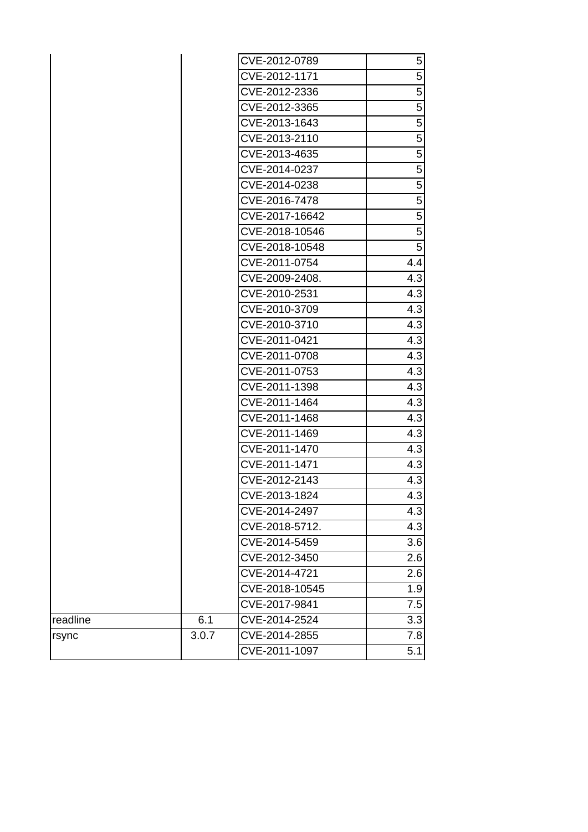|          |       | CVE-2012-0789  | $5\overline{)}$ |
|----------|-------|----------------|-----------------|
|          |       | CVE-2012-1171  | 5               |
|          |       | CVE-2012-2336  | 5               |
|          |       | CVE-2012-3365  | $\overline{5}$  |
|          |       | CVE-2013-1643  | $\overline{5}$  |
|          |       | CVE-2013-2110  | 5               |
|          |       | CVE-2013-4635  | $\overline{5}$  |
|          |       | CVE-2014-0237  | $\sqrt{5}$      |
|          |       | CVE-2014-0238  | 5               |
|          |       | CVE-2016-7478  | 5               |
|          |       | CVE-2017-16642 | $\sqrt{5}$      |
|          |       | CVE-2018-10546 | 5               |
|          |       | CVE-2018-10548 | 5               |
|          |       | CVE-2011-0754  | 4.4             |
|          |       | CVE-2009-2408. | 4.3             |
|          |       | CVE-2010-2531  | 4.3             |
|          |       | CVE-2010-3709  | 4.3             |
|          |       | CVE-2010-3710  | 4.3             |
|          |       | CVE-2011-0421  | 4.3             |
|          |       | CVE-2011-0708  | 4.3             |
|          |       | CVE-2011-0753  | 4.3             |
|          |       | CVE-2011-1398  | 4.3             |
|          |       | CVE-2011-1464  | 4.3             |
|          |       | CVE-2011-1468  | 4.3             |
|          |       | CVE-2011-1469  | 4.3             |
|          |       | CVE-2011-1470  | 4.3             |
|          |       | CVE-2011-1471  | 4.3             |
|          |       | CVE-2012-2143  | 4.3             |
|          |       | CVE-2013-1824  | 4.3             |
|          |       | CVE-2014-2497  | 4.3             |
|          |       | CVE-2018-5712. | 4.3             |
|          |       | CVE-2014-5459  | 3.6             |
|          |       | CVE-2012-3450  | 2.6             |
|          |       | CVE-2014-4721  | 2.6             |
|          |       | CVE-2018-10545 | 1.9             |
|          |       | CVE-2017-9841  | 7.5             |
| readline | 6.1   | CVE-2014-2524  | 3.3             |
| rsync    | 3.0.7 | CVE-2014-2855  | 7.8             |
|          |       | CVE-2011-1097  | 5.1             |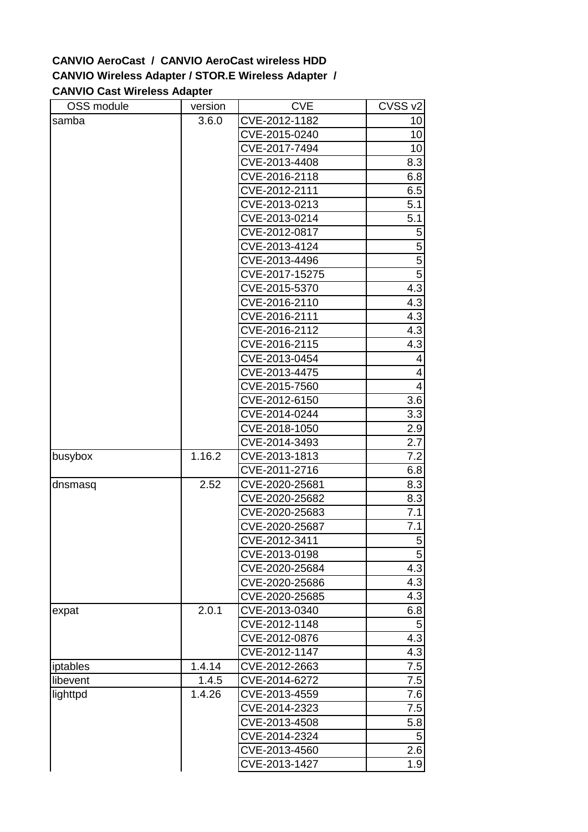## **CANVIO AeroCast / CANVIO AeroCast wireless HDD CANVIO Wireless Adapter / STOR.E Wireless Adapter / CANVIO Cast Wireless Adapter**

| OSS module | version | <b>CVE</b>     | CVSS v2        |
|------------|---------|----------------|----------------|
| samba      | 3.6.0   | CVE-2012-1182  | 10             |
|            |         | CVE-2015-0240  | 10             |
|            |         | CVE-2017-7494  | 10             |
|            |         | CVE-2013-4408  | 8.3            |
|            |         | CVE-2016-2118  | 6.8            |
|            |         | CVE-2012-2111  | 6.5            |
|            |         | CVE-2013-0213  | 5.1            |
|            |         | CVE-2013-0214  | 5.1            |
|            |         | CVE-2012-0817  | 5              |
|            |         | CVE-2013-4124  | 5              |
|            |         | CVE-2013-4496  | $\overline{5}$ |
|            |         | CVE-2017-15275 | $\overline{5}$ |
|            |         | CVE-2015-5370  | 4.3            |
|            |         | CVE-2016-2110  | 4.3            |
|            |         | CVE-2016-2111  | 4.3            |
|            |         | CVE-2016-2112  | 4.3            |
|            |         | CVE-2016-2115  | 4.3            |
|            |         | CVE-2013-0454  | 4              |
|            |         | CVE-2013-4475  | 4              |
|            |         | CVE-2015-7560  | $\overline{4}$ |
|            |         | CVE-2012-6150  | 3.6            |
|            |         | CVE-2014-0244  | 3.3            |
|            |         | CVE-2018-1050  | 2.9            |
|            |         | CVE-2014-3493  | 2.7            |
| busybox    | 1.16.2  | CVE-2013-1813  | 7.2            |
|            |         | CVE-2011-2716  | 6.8            |
| dnsmasq    | 2.52    | CVE-2020-25681 | 8.3            |
|            |         | CVE-2020-25682 | 8.3            |
|            |         | CVE-2020-25683 | 7.1            |
|            |         | CVE-2020-25687 | 7.1            |
|            |         | CVE-2012-3411  | $5 \mid$       |
|            |         | CVE-2013-0198  | 5              |
|            |         | CVE-2020-25684 | 4.3            |
|            |         | CVE-2020-25686 | 4.3            |
|            |         | CVE-2020-25685 | 4.3            |
| expat      | 2.0.1   | CVE-2013-0340  | 6.8            |
|            |         | CVE-2012-1148  | 5              |
|            |         | CVE-2012-0876  | 4.3            |
|            |         | CVE-2012-1147  | 4.3            |
| iptables   | 1.4.14  | CVE-2012-2663  | 7.5            |
| libevent   | 1.4.5   | CVE-2014-6272  | 7.5            |
| lighttpd   | 1.4.26  | CVE-2013-4559  | 7.6            |
|            |         | CVE-2014-2323  | 7.5            |
|            |         | CVE-2013-4508  | 5.8            |
|            |         | CVE-2014-2324  | 5              |
|            |         | CVE-2013-4560  | 2.6            |
|            |         | CVE-2013-1427  | 1.9            |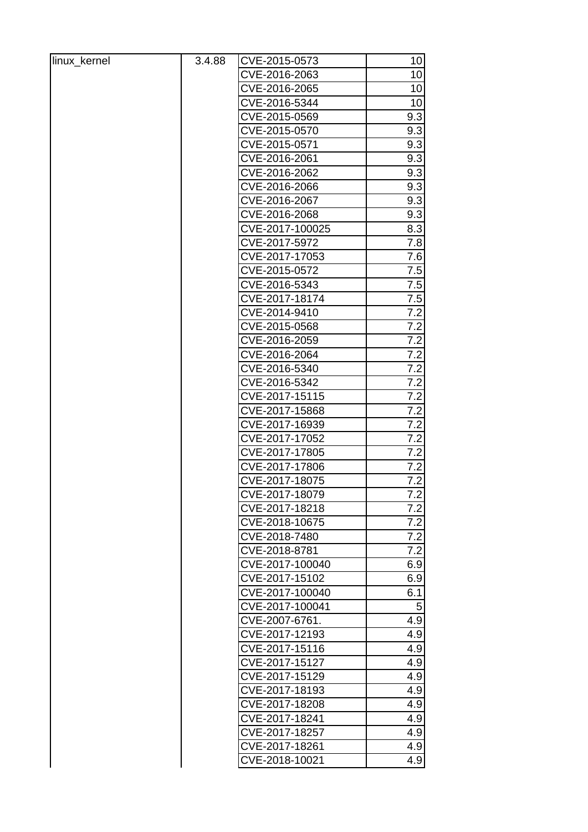| linux_kernel | 3.4.88 | CVE-2015-0573   | 10               |
|--------------|--------|-----------------|------------------|
|              |        | CVE-2016-2063   | 10               |
|              |        | CVE-2016-2065   | 10               |
|              |        | CVE-2016-5344   | 10               |
|              |        | CVE-2015-0569   | 9.3              |
|              |        | CVE-2015-0570   | 9.3              |
|              |        | CVE-2015-0571   | 9.3              |
|              |        | CVE-2016-2061   | 9.3              |
|              |        | CVE-2016-2062   | 9.3              |
|              |        | CVE-2016-2066   | 9.3              |
|              |        | CVE-2016-2067   | 9.3              |
|              |        | CVE-2016-2068   | 9.3              |
|              |        | CVE-2017-100025 | 8.3              |
|              |        | CVE-2017-5972   | 7.8              |
|              |        | CVE-2017-17053  | 7.6              |
|              |        | CVE-2015-0572   | 7.5              |
|              |        | CVE-2016-5343   | 7.5              |
|              |        | CVE-2017-18174  | 7.5              |
|              |        | CVE-2014-9410   | 7.2              |
|              |        | CVE-2015-0568   | 7.2              |
|              |        | CVE-2016-2059   | 7.2              |
|              |        | CVE-2016-2064   | 7.2              |
|              |        | CVE-2016-5340   | 7.2              |
|              |        | CVE-2016-5342   | 7.2              |
|              |        | CVE-2017-15115  | 7.2              |
|              |        | CVE-2017-15868  | 7.2              |
|              |        | CVE-2017-16939  | 7.2              |
|              |        | CVE-2017-17052  | 7.2              |
|              |        | CVE-2017-17805  | 7.2              |
|              |        | CVE-2017-17806  | 7.2              |
|              |        | CVE-2017-18075  | 7.2              |
|              |        | CVE-2017-18079  | $\overline{7.2}$ |
|              |        | CVE-2017-18218  | 7.2              |
|              |        | CVE-2018-10675  | 7.2              |
|              |        | CVE-2018-7480   | 7.2              |
|              |        | CVE-2018-8781   | 7.2              |
|              |        | CVE-2017-100040 | 6.9              |
|              |        | CVE-2017-15102  | 6.9              |
|              |        | CVE-2017-100040 | 6.1              |
|              |        | CVE-2017-100041 | $\sqrt{5}$       |
|              |        | CVE-2007-6761.  | 4.9              |
|              |        | CVE-2017-12193  | 4.9              |
|              |        | CVE-2017-15116  | 4.9              |
|              |        | CVE-2017-15127  | 4.9              |
|              |        | CVE-2017-15129  | 4.9              |
|              |        | CVE-2017-18193  | 4.9              |
|              |        | CVE-2017-18208  | 4.9              |
|              |        | CVE-2017-18241  | 4.9              |
|              |        | CVE-2017-18257  | 4.9              |
|              |        | CVE-2017-18261  | 4.9              |
|              |        | CVE-2018-10021  | 4.9              |